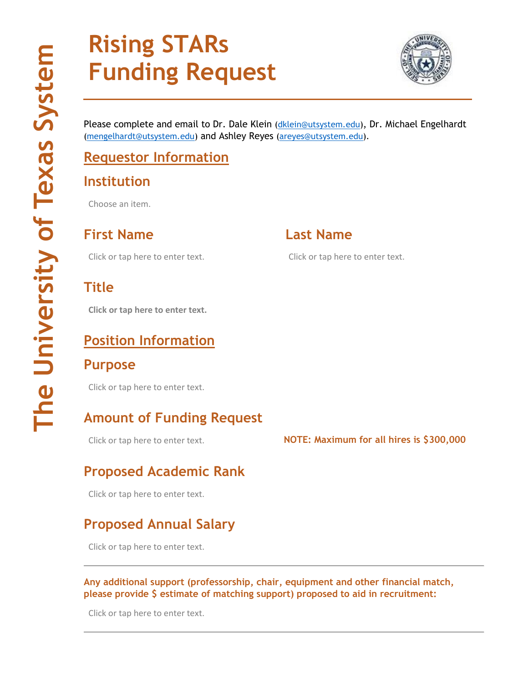# **Rising STARs Funding Request**



Please complete and email to Dr. Dale Klein [\(dklein@utsystem.edu\)](mailto:dklein@utsystem.edu), Dr. Michael Engelhardt [\(mengelhardt@utsystem.edu\)](mailto:mengelhardt@utsystem.edu) and Ashley Reyes [\(areyes@utsystem.edu\)](mailto:areyes@utsystem.edu).

# **Requestor Information**

#### **Institution**

Choose an item.

**First Name Last Name**

Click or tap here to enter text. Click or tap here to enter text.

#### **Title**

**Click or tap here to enter text.**

#### **Position Information**

#### **Purpose**

Click or tap here to enter text.

# **Amount of Funding Request**

#### Click or tap here to enter text. **NOTE: Maximum for all hires is \$300,000**

# **Proposed Academic Rank**

Click or tap here to enter text.

# **Proposed Annual Salary**

Click or tap here to enter text.

**Any additional support (professorship, chair, equipment and other financial match, please provide \$ estimate of matching support) proposed to aid in recruitment:**

Click or tap here to enter text.